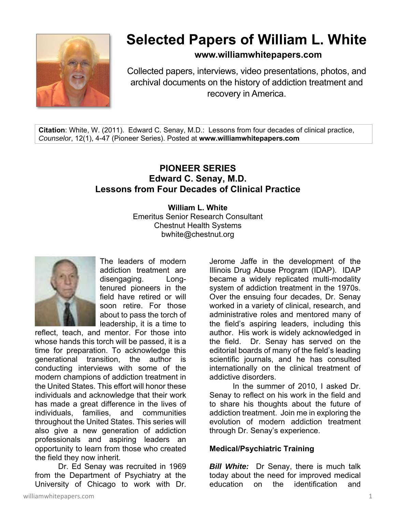

# **Selected Papers of William L. White**

**www.williamwhitepapers.com**

Collected papers, interviews, video presentations, photos, and archival documents on the history of addiction treatment and recovery in America.

**Citation**: White, W. (2011). Edward C. Senay, M.D.: Lessons from four decades of clinical practice, *Counselor*, 12(1), 4-47 (Pioneer Series). Posted at **www.williamwhitepapers.com** 

# **PIONEER SERIES Edward C. Senay, M.D. Lessons from Four Decades of Clinical Practice**

**William L. White**  Emeritus Senior Research Consultant Chestnut Health Systems bwhite@chestnut.org



The leaders of modern addiction treatment are disengaging. Longtenured pioneers in the field have retired or will soon retire. For those about to pass the torch of leadership, it is a time to

reflect, teach, and mentor. For those into whose hands this torch will be passed, it is a time for preparation. To acknowledge this generational transition, the author is conducting interviews with some of the modern champions of addiction treatment in the United States. This effort will honor these individuals and acknowledge that their work has made a great difference in the lives of individuals, families, and communities throughout the United States. This series will also give a new generation of addiction professionals and aspiring leaders an opportunity to learn from those who created the field they now inherit.

 Dr. Ed Senay was recruited in 1969 from the Department of Psychiatry at the University of Chicago to work with Dr.

Jerome Jaffe in the development of the Illinois Drug Abuse Program (IDAP). IDAP became a widely replicated multi-modality system of addiction treatment in the 1970s. Over the ensuing four decades, Dr. Senay worked in a variety of clinical, research, and administrative roles and mentored many of the field's aspiring leaders, including this author. His work is widely acknowledged in the field. Dr. Senay has served on the editorial boards of many of the field's leading scientific journals, and he has consulted internationally on the clinical treatment of addictive disorders.

 In the summer of 2010, I asked Dr. Senay to reflect on his work in the field and to share his thoughts about the future of addiction treatment. Join me in exploring the evolution of modern addiction treatment through Dr. Senay's experience.

#### **Medical/Psychiatric Training**

*Bill White:* Dr Senay, there is much talk today about the need for improved medical education on the identification and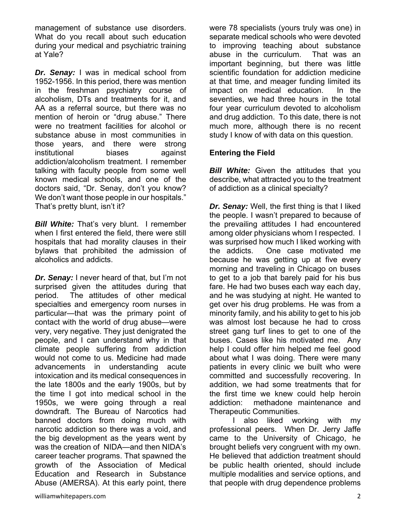management of substance use disorders. What do you recall about such education during your medical and psychiatric training at Yale?

*Dr. Senay:* I was in medical school from 1952-1956. In this period, there was mention in the freshman psychiatry course of alcoholism, DTs and treatments for it, and AA as a referral source, but there was no mention of heroin or "drug abuse." There were no treatment facilities for alcohol or substance abuse in most communities in those years, and there were strong institutional biases against addiction/alcoholism treatment. I remember talking with faculty people from some well known medical schools, and one of the doctors said, "Dr. Senay, don't you know? We don't want those people in our hospitals." That's pretty blunt, isn't it?

**Bill White:** That's very blunt. I remember when I first entered the field, there were still hospitals that had morality clauses in their bylaws that prohibited the admission of alcoholics and addicts.

*Dr. Senay:* I never heard of that, but I'm not surprised given the attitudes during that period. The attitudes of other medical specialties and emergency room nurses in particular—that was the primary point of contact with the world of drug abuse—were very, very negative. They just denigrated the people, and I can understand why in that climate people suffering from addiction would not come to us. Medicine had made advancements in understanding acute intoxication and its medical consequences in the late 1800s and the early 1900s, but by the time I got into medical school in the 1950s, we were going through a real downdraft. The Bureau of Narcotics had banned doctors from doing much with narcotic addiction so there was a void, and the big development as the years went by was the creation of NIDA—and then NIDA's career teacher programs. That spawned the growth of the Association of Medical Education and Research in Substance Abuse (AMERSA). At this early point, there

were 78 specialists (yours truly was one) in separate medical schools who were devoted to improving teaching about substance abuse in the curriculum. That was an important beginning, but there was little scientific foundation for addiction medicine at that time, and meager funding limited its impact on medical education. In the seventies, we had three hours in the total four year curriculum devoted to alcoholism and drug addiction. To this date, there is not much more, although there is no recent study I know of with data on this question.

## **Entering the Field**

**Bill White:** Given the attitudes that you describe, what attracted you to the treatment of addiction as a clinical specialty?

*Dr. Senay:* Well, the first thing is that I liked the people. I wasn't prepared to because of the prevailing attitudes I had encountered among older physicians whom I respected. I was surprised how much I liked working with the addicts. One case motivated me because he was getting up at five every morning and traveling in Chicago on buses to get to a job that barely paid for his bus fare. He had two buses each way each day, and he was studying at night. He wanted to get over his drug problems. He was from a minority family, and his ability to get to his job was almost lost because he had to cross street gang turf lines to get to one of the buses. Cases like his motivated me. Any help I could offer him helped me feel good about what I was doing. There were many patients in every clinic we built who were committed and successfully recovering. In addition, we had some treatments that for the first time we knew could help heroin addiction: methadone maintenance and Therapeutic Communities.

 I also liked working with my professional peers. When Dr. Jerry Jaffe came to the University of Chicago, he brought beliefs very congruent with my own. He believed that addiction treatment should be public health oriented, should include multiple modalities and service options, and that people with drug dependence problems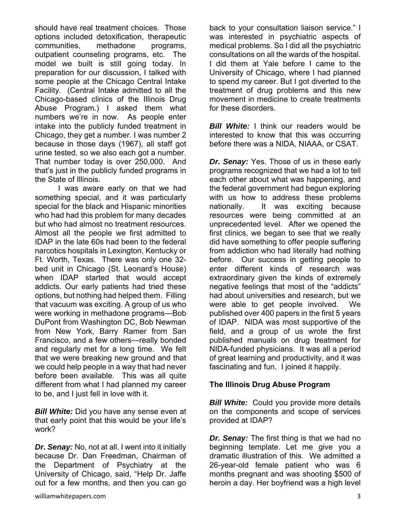should have real treatment choices. Those options included detoxification, therapeutic communities, methadone programs, outpatient counseling programs, etc. The model we built is still going today. In preparation for our discussion, I talked with some people at the Chicago Central Intake Facility. (Central Intake admitted to all the Chicago-based clinics of the Illinois Drug Abuse Program.) I asked them what numbers we're in now. As people enter intake into the publicly funded treatment in Chicago, they get a number. I was number 2 because in those days (1967), all staff got urine tested, so we also each got a number. That number today is over 250,000. And that's just in the publicly funded programs in the State of Illinois.

 I was aware early on that we had something special, and it was particularly special for the black and Hispanic minorities who had had this problem for many decades but who had almost no treatment resources. Almost all the people we first admitted to IDAP in the late 60s had been to the federal narcotics hospitals in Lexington, Kentucky or Ft. Worth, Texas. There was only one 32 bed unit in Chicago (St. Leonard's House) when IDAP started that would accept addicts. Our early patients had tried these options, but nothing had helped them. Filling that vacuum was exciting. A group of us who were working in methadone programs—Bob DuPont from Washington DC, Bob Newman from New York, Barry Ramer from San Francisco, and a few others—really bonded and regularly met for a long time. We felt that we were breaking new ground and that we could help people in a way that had never before been available. This was all quite different from what I had planned my career to be, and I just fell in love with it.

*Bill White:* Did you have any sense even at that early point that this would be your life's work?

*Dr. Senay:* No, not at all. I went into it initially because Dr. Dan Freedman, Chairman of the Department of Psychiatry at the University of Chicago, said, "Help Dr. Jaffe out for a few months, and then you can go back to your consultation liaison service." I was interested in psychiatric aspects of medical problems. So I did all the psychiatric consultations on all the wards of the hospital. I did them at Yale before I came to the University of Chicago, where I had planned to spend my career. But I got diverted to the treatment of drug problems and this new movement in medicine to create treatments for these disorders.

*Bill White:* I think our readers would be interested to know that this was occurring before there was a NIDA, NIAAA, or CSAT.

*Dr. Senay:* Yes. Those of us in these early programs recognized that we had a lot to tell each other about what was happening, and the federal government had begun exploring with us how to address these problems nationally. It was exciting because resources were being committed at an unprecedented level. After we opened the first clinics, we began to see that we really did have something to offer people suffering from addiction who had literally had nothing before. Our success in getting people to enter different kinds of research was extraordinary given the kinds of extremely negative feelings that most of the "addicts" had about universities and research, but we were able to get people involved. We published over 400 papers in the first 5 years of IDAP. NIDA was most supportive of the field, and a group of us wrote the first published manuals on drug treatment for NIDA-funded physicians. It was all a period of great learning and productivity, and it was fascinating and fun. I joined it happily.

#### **The Illinois Drug Abuse Program**

*Bill White:* Could you provide more details on the components and scope of services provided at IDAP?

*Dr. Senay:* The first thing is that we had no beginning template. Let me give you a dramatic illustration of this. We admitted a 26-year-old female patient who was 6 months pregnant and was shooting \$500 of heroin a day. Her boyfriend was a high level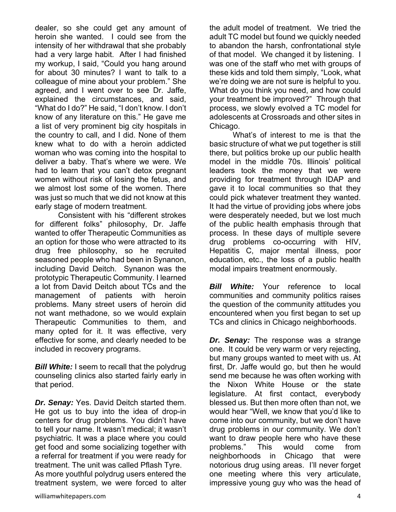dealer, so she could get any amount of heroin she wanted. I could see from the intensity of her withdrawal that she probably had a very large habit. After I had finished my workup, I said, "Could you hang around for about 30 minutes? I want to talk to a colleague of mine about your problem." She agreed, and I went over to see Dr. Jaffe, explained the circumstances, and said, "What do I do?" He said, "I don't know. I don't know of any literature on this." He gave me a list of very prominent big city hospitals in the country to call, and I did. None of them knew what to do with a heroin addicted woman who was coming into the hospital to deliver a baby. That's where we were. We had to learn that you can't detox pregnant women without risk of losing the fetus, and we almost lost some of the women. There was just so much that we did not know at this early stage of modern treatment.

 Consistent with his "different strokes for different folks" philosophy, Dr. Jaffe wanted to offer Therapeutic Communities as an option for those who were attracted to its drug free philosophy, so he recruited seasoned people who had been in Synanon, including David Deitch. Synanon was the prototypic Therapeutic Community. I learned a lot from David Deitch about TCs and the management of patients with heroin problems. Many street users of heroin did not want methadone, so we would explain Therapeutic Communities to them, and many opted for it. It was effective, very effective for some, and clearly needed to be included in recovery programs.

**Bill White:** I seem to recall that the polydrug counseling clinics also started fairly early in that period.

*Dr. Senay:* Yes. David Deitch started them. He got us to buy into the idea of drop-in centers for drug problems. You didn't have to tell your name. It wasn't medical; it wasn't psychiatric. It was a place where you could get food and some socializing together with a referral for treatment if you were ready for treatment. The unit was called Pflash Tyre. As more youthful polydrug users entered the treatment system, we were forced to alter

the adult model of treatment. We tried the adult TC model but found we quickly needed to abandon the harsh, confrontational style of that model. We changed it by listening. I was one of the staff who met with groups of these kids and told them simply, "Look, what we're doing we are not sure is helpful to you. What do you think you need, and how could your treatment be improved?" Through that process, we slowly evolved a TC model for adolescents at Crossroads and other sites in Chicago.

 What's of interest to me is that the basic structure of what we put together is still there, but politics broke up our public health model in the middle 70s. Illinois' political leaders took the money that we were providing for treatment through IDAP and gave it to local communities so that they could pick whatever treatment they wanted. It had the virtue of providing jobs where jobs were desperately needed, but we lost much of the public health emphasis through that process. In these days of multiple severe drug problems co-occurring with HIV, Hepatitis C, major mental illness, poor education, etc., the loss of a public health modal impairs treatment enormously.

*Bill White:* Your reference to local communities and community politics raises the question of the community attitudes you encountered when you first began to set up TCs and clinics in Chicago neighborhoods.

*Dr. Senay:* The response was a strange one. It could be very warm or very rejecting, but many groups wanted to meet with us. At first, Dr. Jaffe would go, but then he would send me because he was often working with the Nixon White House or the state legislature. At first contact, everybody blessed us. But then more often than not, we would hear "Well, we know that you'd like to come into our community, but we don't have drug problems in our community. We don't want to draw people here who have these problems." This would come from neighborhoods in Chicago that were notorious drug using areas. I'll never forget one meeting where this very articulate, impressive young guy who was the head of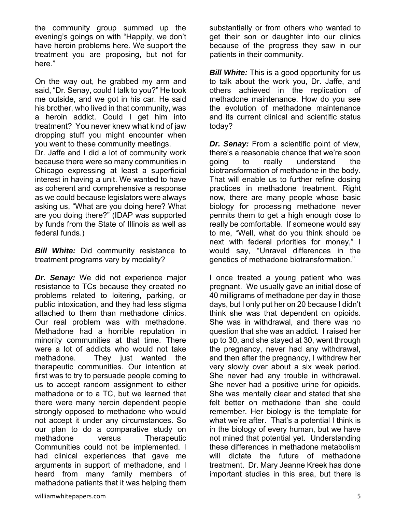the community group summed up the evening's goings on with "Happily, we don't have heroin problems here. We support the treatment you are proposing, but not for here."

On the way out, he grabbed my arm and said, "Dr. Senay, could I talk to you?" He took me outside, and we got in his car. He said his brother, who lived in that community, was a heroin addict. Could I get him into treatment? You never knew what kind of jaw dropping stuff you might encounter when you went to these community meetings.

Dr. Jaffe and I did a lot of community work because there were so many communities in Chicago expressing at least a superficial interest in having a unit. We wanted to have as coherent and comprehensive a response as we could because legislators were always asking us, "What are you doing here? What are you doing there?" (IDAP was supported by funds from the State of Illinois as well as federal funds.)

*Bill White:* Did community resistance to treatment programs vary by modality?

*Dr. Senay:* We did not experience major resistance to TCs because they created no problems related to loitering, parking, or public intoxication, and they had less stigma attached to them than methadone clinics. Our real problem was with methadone. Methadone had a horrible reputation in minority communities at that time. There were a lot of addicts who would not take methadone. They just wanted the therapeutic communities. Our intention at first was to try to persuade people coming to us to accept random assignment to either methadone or to a TC, but we learned that there were many heroin dependent people strongly opposed to methadone who would not accept it under any circumstances. So our plan to do a comparative study on methadone versus Therapeutic Communities could not be implemented. I had clinical experiences that gave me arguments in support of methadone, and I heard from many family members of methadone patients that it was helping them substantially or from others who wanted to get their son or daughter into our clinics because of the progress they saw in our patients in their community.

*Bill White:* This is a good opportunity for us to talk about the work you, Dr. Jaffe, and others achieved in the replication of methadone maintenance. How do you see the evolution of methadone maintenance and its current clinical and scientific status today?

*Dr. Senay:* From a scientific point of view, there's a reasonable chance that we're soon going to really understand the biotransformation of methadone in the body. That will enable us to further refine dosing practices in methadone treatment. Right now, there are many people whose basic biology for processing methadone never permits them to get a high enough dose to really be comfortable. If someone would say to me, "Well, what do you think should be next with federal priorities for money," I would say, "Unravel differences in the genetics of methadone biotransformation."

I once treated a young patient who was pregnant. We usually gave an initial dose of 40 milligrams of methadone per day in those days, but I only put her on 20 because I didn't think she was that dependent on opioids. She was in withdrawal, and there was no question that she was an addict. I raised her up to 30, and she stayed at 30, went through the pregnancy, never had any withdrawal, and then after the pregnancy, I withdrew her very slowly over about a six week period. She never had any trouble in withdrawal. She never had a positive urine for opioids. She was mentally clear and stated that she felt better on methadone than she could remember. Her biology is the template for what we're after. That's a potential I think is in the biology of every human, but we have not mined that potential yet. Understanding these differences in methadone metabolism will dictate the future of methadone treatment. Dr. Mary Jeanne Kreek has done important studies in this area, but there is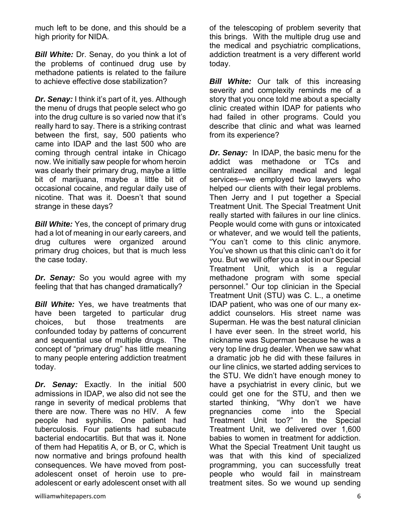much left to be done, and this should be a high priority for NIDA.

*Bill White:* Dr. Senay, do you think a lot of the problems of continued drug use by methadone patients is related to the failure to achieve effective dose stabilization?

*Dr. Senay:* I think it's part of it, yes. Although the menu of drugs that people select who go into the drug culture is so varied now that it's really hard to say. There is a striking contrast between the first, say, 500 patients who came into IDAP and the last 500 who are coming through central intake in Chicago now. We initially saw people for whom heroin was clearly their primary drug, maybe a little bit of marijuana, maybe a little bit of occasional cocaine, and regular daily use of nicotine. That was it. Doesn't that sound strange in these days?

**Bill White:** Yes, the concept of primary drug had a lot of meaning in our early careers, and drug cultures were organized around primary drug choices, but that is much less the case today.

*Dr. Senay:* So you would agree with my feeling that that has changed dramatically?

*Bill White:* Yes, we have treatments that have been targeted to particular drug choices, but those treatments are confounded today by patterns of concurrent and sequential use of multiple drugs. The concept of "primary drug" has little meaning to many people entering addiction treatment today.

*Dr. Senay:* Exactly. In the initial 500 admissions in IDAP, we also did not see the range in severity of medical problems that there are now. There was no HIV. A few people had syphilis. One patient had tuberculosis. Four patients had subacute bacterial endocartitis. But that was it. None of them had Hepatitis A, or B, or C, which is now normative and brings profound health consequences. We have moved from postadolescent onset of heroin use to preadolescent or early adolescent onset with all

of the telescoping of problem severity that this brings. With the multiple drug use and the medical and psychiatric complications, addiction treatment is a very different world today.

**Bill White:** Our talk of this increasing severity and complexity reminds me of a story that you once told me about a specialty clinic created within IDAP for patients who had failed in other programs. Could you describe that clinic and what was learned from its experience?

*Dr. Senay:*In IDAP, the basic menu for the addict was methadone or TCs and centralized ancillary medical and legal services—we employed two lawyers who helped our clients with their legal problems. Then Jerry and I put together a Special Treatment Unit. The Special Treatment Unit really started with failures in our line clinics. People would come with guns or intoxicated or whatever, and we would tell the patients, "You can't come to this clinic anymore. You've shown us that this clinic can't do it for you. But we will offer you a slot in our Special Treatment Unit, which is a regular methadone program with some special personnel." Our top clinician in the Special Treatment Unit (STU) was C. L., a onetime IDAP patient, who was one of our many exaddict counselors. His street name was Superman. He was the best natural clinician I have ever seen. In the street world, his nickname was Superman because he was a very top line drug dealer. When we saw what a dramatic job he did with these failures in our line clinics, we started adding services to the STU. We didn't have enough money to have a psychiatrist in every clinic, but we could get one for the STU, and then we started thinking, "Why don't we have pregnancies come into the Special Treatment Unit too?" In the Special Treatment Unit, we delivered over 1,600 babies to women in treatment for addiction. What the Special Treatment Unit taught us was that with this kind of specialized programming, you can successfully treat people who would fail in mainstream treatment sites. So we wound up sending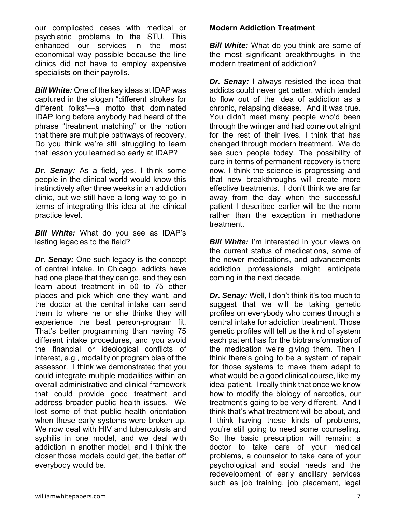our complicated cases with medical or psychiatric problems to the STU. This enhanced our services in the most economical way possible because the line clinics did not have to employ expensive specialists on their payrolls.

*Bill White:* One of the key ideas at IDAP was captured in the slogan "different strokes for different folks"—a motto that dominated IDAP long before anybody had heard of the phrase "treatment matching" or the notion that there are multiple pathways of recovery. Do you think we're still struggling to learn that lesson you learned so early at IDAP?

*Dr. Senay:* As a field, yes. I think some people in the clinical world would know this instinctively after three weeks in an addiction clinic, but we still have a long way to go in terms of integrating this idea at the clinical practice level.

*Bill White:* What do you see as IDAP's lasting legacies to the field?

*Dr. Senay:* One such legacy is the concept of central intake. In Chicago, addicts have had one place that they can go, and they can learn about treatment in 50 to 75 other places and pick which one they want, and the doctor at the central intake can send them to where he or she thinks they will experience the best person-program fit. That's better programming than having 75 different intake procedures, and you avoid the financial or ideological conflicts of interest, e.g., modality or program bias of the assessor. I think we demonstrated that you could integrate multiple modalities within an overall administrative and clinical framework that could provide good treatment and address broader public health issues. We lost some of that public health orientation when these early systems were broken up. We now deal with HIV and tuberculosis and syphilis in one model, and we deal with addiction in another model, and I think the closer those models could get, the better off everybody would be.

### **Modern Addiction Treatment**

*Bill White:* What do you think are some of the most significant breakthroughs in the modern treatment of addiction?

*Dr. Senay:* I always resisted the idea that addicts could never get better, which tended to flow out of the idea of addiction as a chronic, relapsing disease. And it was true. You didn't meet many people who'd been through the wringer and had come out alright for the rest of their lives. I think that has changed through modern treatment. We do see such people today. The possibility of cure in terms of permanent recovery is there now. I think the science is progressing and that new breakthroughs will create more effective treatments. I don't think we are far away from the day when the successful patient I described earlier will be the norm rather than the exception in methadone treatment.

**Bill White:** I'm interested in your views on the current status of medications, some of the newer medications, and advancements addiction professionals might anticipate coming in the next decade.

*Dr. Senay:* Well, I don't think it's too much to suggest that we will be taking genetic profiles on everybody who comes through a central intake for addiction treatment. Those genetic profiles will tell us the kind of system each patient has for the biotransformation of the medication we're giving them. Then I think there's going to be a system of repair for those systems to make them adapt to what would be a good clinical course, like my ideal patient. I really think that once we know how to modify the biology of narcotics, our treatment's going to be very different. And I think that's what treatment will be about, and I think having these kinds of problems, you're still going to need some counseling. So the basic prescription will remain: a doctor to take care of your medical problems, a counselor to take care of your psychological and social needs and the redevelopment of early ancillary services such as job training, job placement, legal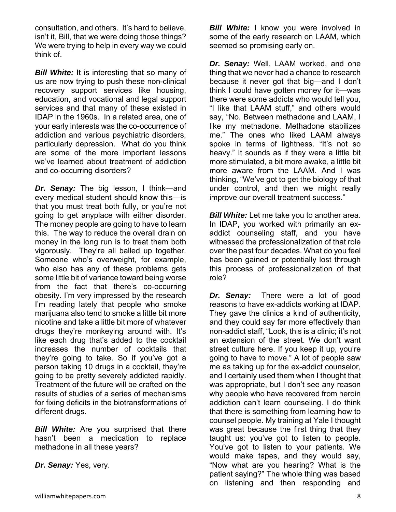consultation, and others. It's hard to believe, isn't it, Bill, that we were doing those things? We were trying to help in every way we could think of.

**Bill White:** It is interesting that so many of us are now trying to push these non-clinical recovery support services like housing, education, and vocational and legal support services and that many of these existed in IDAP in the 1960s. In a related area, one of your early interests was the co-occurrence of addiction and various psychiatric disorders, particularly depression. What do you think are some of the more important lessons we've learned about treatment of addiction and co-occurring disorders?

*Dr. Senay:* The big lesson, I think—and every medical student should know this—is that you must treat both fully, or you're not going to get anyplace with either disorder. The money people are going to have to learn this. The way to reduce the overall drain on money in the long run is to treat them both vigorously. They're all balled up together. Someone who's overweight, for example, who also has any of these problems gets some little bit of variance toward being worse from the fact that there's co-occurring obesity. I'm very impressed by the research I'm reading lately that people who smoke marijuana also tend to smoke a little bit more nicotine and take a little bit more of whatever drugs they're monkeying around with. It's like each drug that's added to the cocktail increases the number of cocktails that they're going to take. So if you've got a person taking 10 drugs in a cocktail, they're going to be pretty severely addicted rapidly. Treatment of the future will be crafted on the results of studies of a series of mechanisms for fixing deficits in the biotransformations of different drugs.

**Bill White:** Are you surprised that there hasn't been a medication to replace methadone in all these years?

*Dr. Senay:* Yes, very.

*Bill White:* I know you were involved in some of the early research on LAAM, which seemed so promising early on.

*Dr. Senay:* Well, LAAM worked, and one thing that we never had a chance to research because it never got that big—and I don't think I could have gotten money for it—was there were some addicts who would tell you, "I like that LAAM stuff," and others would say, "No. Between methadone and LAAM, I like my methadone. Methadone stabilizes me." The ones who liked LAAM always spoke in terms of lightness. "It's not so heavy." It sounds as if they were a little bit more stimulated, a bit more awake, a little bit more aware from the LAAM. And I was thinking, "We've got to get the biology of that under control, and then we might really improve our overall treatment success."

*Bill White:* Let me take you to another area. In IDAP, you worked with primarily an exaddict counseling staff, and you have witnessed the professionalization of that role over the past four decades. What do you feel has been gained or potentially lost through this process of professionalization of that role?

*Dr. Senay:* There were a lot of good reasons to have ex-addicts working at IDAP. They gave the clinics a kind of authenticity, and they could say far more effectively than non-addict staff, "Look, this is a clinic; it's not an extension of the street. We don't want street culture here. If you keep it up, you're going to have to move." A lot of people saw me as taking up for the ex-addict counselor, and I certainly used them when I thought that was appropriate, but I don't see any reason why people who have recovered from heroin addiction can't learn counseling. I do think that there is something from learning how to counsel people. My training at Yale I thought was great because the first thing that they taught us: you've got to listen to people. You've got to listen to your patients. We would make tapes, and they would say, "Now what are you hearing? What is the patient saying?" The whole thing was based on listening and then responding and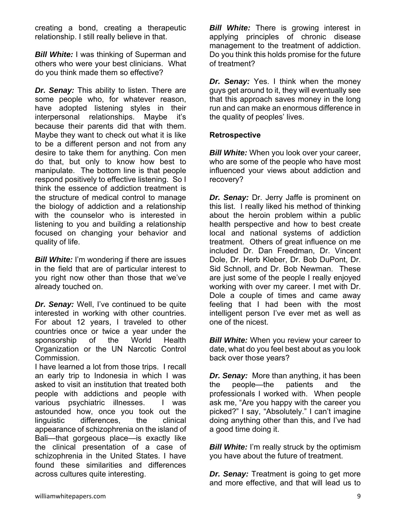creating a bond, creating a therapeutic relationship. I still really believe in that.

*Bill White:* I was thinking of Superman and others who were your best clinicians. What do you think made them so effective?

*Dr. Senay:* This ability to listen. There are some people who, for whatever reason, have adopted listening styles in their interpersonal relationships. Maybe it's because their parents did that with them. Maybe they want to check out what it is like to be a different person and not from any desire to take them for anything. Con men do that, but only to know how best to manipulate. The bottom line is that people respond positively to effective listening. So I think the essence of addiction treatment is the structure of medical control to manage the biology of addiction and a relationship with the counselor who is interested in listening to you and building a relationship focused on changing your behavior and quality of life.

*Bill White:* I'm wondering if there are issues in the field that are of particular interest to you right now other than those that we've already touched on.

*Dr. Senay:* Well, I've continued to be quite interested in working with other countries. For about 12 years, I traveled to other countries once or twice a year under the sponsorship of the World Health Organization or the UN Narcotic Control Commission.

I have learned a lot from those trips. I recall an early trip to Indonesia in which I was asked to visit an institution that treated both people with addictions and people with various psychiatric illnesses. I was astounded how, once you took out the linguistic differences, the clinical appearance of schizophrenia on the island of Bali—that gorgeous place—is exactly like the clinical presentation of a case of schizophrenia in the United States. I have found these similarities and differences across cultures quite interesting.

*Bill White:* There is growing interest in applying principles of chronic disease management to the treatment of addiction. Do you think this holds promise for the future of treatment?

*Dr. Senay:* Yes. I think when the money guys get around to it, they will eventually see that this approach saves money in the long run and can make an enormous difference in the quality of peoples' lives.

### **Retrospective**

*Bill White:* When you look over your career, who are some of the people who have most influenced your views about addiction and recovery?

*Dr. Senay:* Dr. Jerry Jaffe is prominent on this list. I really liked his method of thinking about the heroin problem within a public health perspective and how to best create local and national systems of addiction treatment. Others of great influence on me included Dr. Dan Freedman, Dr. Vincent Dole, Dr. Herb Kleber, Dr. Bob DuPont, Dr. Sid Schnoll, and Dr. Bob Newman. These are just some of the people I really enjoyed working with over my career. I met with Dr. Dole a couple of times and came away feeling that I had been with the most intelligent person I've ever met as well as one of the nicest.

*Bill White:* When you review your career to date, what do you feel best about as you look back over those years?

*Dr. Senay:* More than anything, it has been the people—the patients and the professionals I worked with. When people ask me, "Are you happy with the career you picked?" I say, "Absolutely." I can't imagine doing anything other than this, and I've had a good time doing it.

**Bill White:** I'm really struck by the optimism you have about the future of treatment.

*Dr. Senay:* Treatment is going to get more and more effective, and that will lead us to